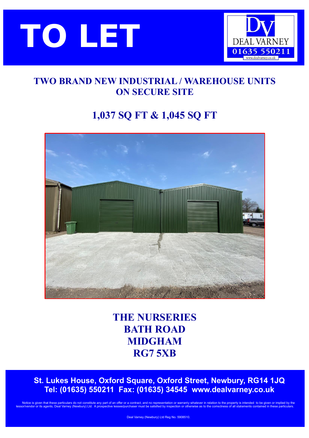



## **TWO BRAND NEW INDUSTRIAL / WAREHOUSE UNITS ON SECURE SITE**

# **1,037 SQ FT & 1,045 SQ FT**



**THE NURSERIES BATH ROAD MIDGHAM RG7 5XB**

 **St. Lukes House, Oxford Square, Oxford Street, Newbury, RG14 1JQ Tel: (01635) 550211 Fax: (01635) 34545 [www.dealvarney.co.uk](http://www.dealvarney.co.uk/)**

Notice is given that these particulars do not constitute any part of an offer or a contract, and no representation or warranty whatever in relation to the property is intended to be given or implied by the or its agents, Deal Varney (Newbury) Ltd. A prospective lesse